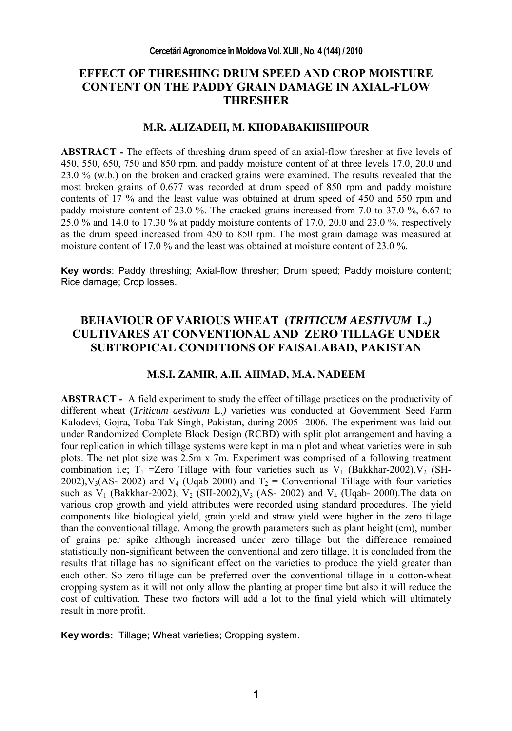# **EFFECT OF THRESHING DRUM SPEED AND CROP MOISTURE CONTENT ON THE PADDY GRAIN DAMAGE IN AXIAL-FLOW THRESHER**

### **M.R. ALIZADEH, M. KHODABAKHSHIPOUR**

**ABSTRACT -** The effects of threshing drum speed of an axial-flow thresher at five levels of 450, 550, 650, 750 and 850 rpm, and paddy moisture content of at three levels 17.0, 20.0 and 23.0 % (w.b.) on the broken and cracked grains were examined. The results revealed that the most broken grains of 0.677 was recorded at drum speed of 850 rpm and paddy moisture contents of 17 % and the least value was obtained at drum speed of 450 and 550 rpm and paddy moisture content of 23.0 %. The cracked grains increased from 7.0 to 37.0 %, 6.67 to 25.0 % and 14.0 to 17.30 % at paddy moisture contents of 17.0, 20.0 and 23.0 %, respectively as the drum speed increased from 450 to 850 rpm. The most grain damage was measured at moisture content of 17.0 % and the least was obtained at moisture content of 23.0 %.

**Key words**: Paddy threshing; Axial-flow thresher; Drum speed; Paddy moisture content; Rice damage; Crop losses.

## **BEHAVIOUR OF VARIOUS WHEAT (***TRITICUM AESTIVUM* **L***.)*  **CULTIVARES AT CONVENTIONAL AND ZERO TILLAGE UNDER SUBTROPICAL CONDITIONS OF FAISALABAD, PAKISTAN**

## **M.S.I. ZAMIR, A.H. AHMAD, M.A. NADEEM**

**ABSTRACT -** A field experiment to study the effect of tillage practices on the productivity of different wheat (*Triticum aestivum* L.*)* varieties was conducted at Government Seed Farm Kalodevi, Gojra, Toba Tak Singh, Pakistan, during 2005 -2006. The experiment was laid out under Randomized Complete Block Design (RCBD) with split plot arrangement and having a four replication in which tillage systems were kept in main plot and wheat varieties were in sub plots. The net plot size was 2.5m x 7m. Experiment was comprised of a following treatment combination i.e;  $T_1$  =Zero Tillage with four varieties such as  $V_1$  (Bakkhar-2002), $V_2$  (SH-2002),  $V_3(AS- 2002)$  and  $V_4$  (Uqab 2000) and  $T_2$  = Conventional Tillage with four varieties such as  $V_1$  (Bakkhar-2002),  $V_2$  (SII-2002),  $V_3$  (AS- 2002) and  $V_4$  (Uqab- 2000). The data on various crop growth and yield attributes were recorded using standard procedures. The yield components like biological yield, grain yield and straw yield were higher in the zero tillage than the conventional tillage. Among the growth parameters such as plant height (cm), number of grains per spike although increased under zero tillage but the difference remained statistically non-significant between the conventional and zero tillage. It is concluded from the results that tillage has no significant effect on the varieties to produce the yield greater than each other. So zero tillage can be preferred over the conventional tillage in a cotton-wheat cropping system as it will not only allow the planting at proper time but also it will reduce the cost of cultivation. These two factors will add a lot to the final yield which will ultimately result in more profit.

**Key words:** Tillage; Wheat varieties; Cropping system.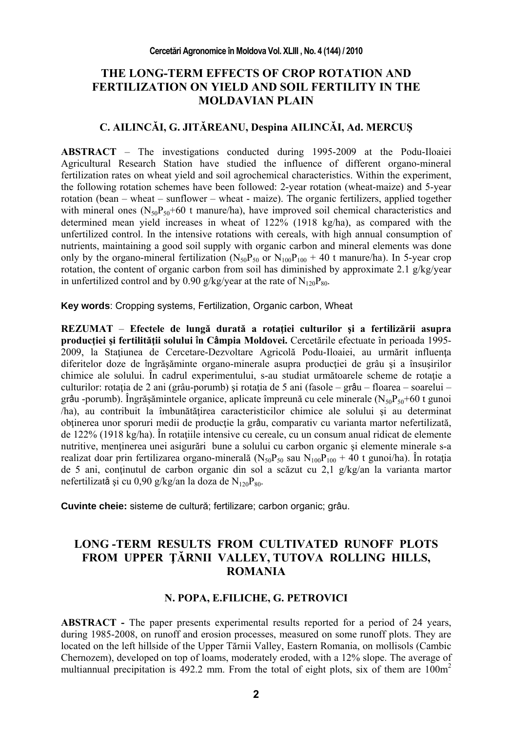## **THE LONG-TERM EFFECTS OF CROP ROTATION AND FERTILIZATION ON YIELD AND SOIL FERTILITY IN THE MOLDAVIAN PLAIN**

## **C. AILINCĂI, G. JITĂREANU, Despina AILINCĂI, Ad. MERCUŞ**

**ABSTRACT** – The investigations conducted during 1995-2009 at the Podu-Iloaiei Agricultural Research Station have studied the influence of different organo-mineral fertilization rates on wheat yield and soil agrochemical characteristics. Within the experiment, the following rotation schemes have been followed: 2-year rotation (wheat-maize) and 5-year rotation (bean – wheat – sunflower – wheat - maize). The organic fertilizers, applied together with mineral ones ( $N_{50}P_{50}+60$  t manure/ha), have improved soil chemical characteristics and determined mean yield increases in wheat of 122% (1918 kg/ha), as compared with the unfertilized control. In the intensive rotations with cereals, with high annual consumption of nutrients, maintaining a good soil supply with organic carbon and mineral elements was done only by the organo-mineral fertilization ( $N_{50}P_{50}$  or  $N_{100}P_{100}$  + 40 t manure/ha). In 5-year crop rotation, the content of organic carbon from soil has diminished by approximate 2.1  $g/kg/year$ in unfertilized control and by 0.90 g/kg/year at the rate of  $N_{120}P_{80}$ .

**Key words**: Cropping systems, Fertilization, Organic carbon, Wheat

**REZUMAT** – **Efectele de lungă durată a rotaţiei culturilor şi a fertilizării asupra producţiei şi fertilităţii solului în Câmpia Moldovei.** Cercetările efectuate în perioada 1995- 2009, la Stațiunea de Cercetare-Dezvoltare Agricolă Podu-Iloaiei, au urmărit influența diferitelor doze de îngrășăminte organo-minerale asupra producției de grâu și a însușirilor chimice ale solului. În cadrul experimentului, s-au studiat următoarele scheme de rotație a culturilor: rotația de 2 ani (grâu-porumb) și rotația de 5 ani (fasole – grâu – floarea – soarelui – grâu -porumb). Îngrășămintele organice, aplicate împreună cu cele minerale ( $N_{50}P_{50}+60$  t gunoi /ha), au contribuit la îmbunătăţirea caracteristicilor chimice ale solului şi au determinat obținerea unor sporuri medii de producție la grâu, comparativ cu varianta martor nefertilizată, de 122% (1918 kg/ha). În rotaţiile intensive cu cereale, cu un consum anual ridicat de elemente nutritive, menţinerea unei asigurări bune a solului cu carbon organic şi elemente minerale s-a realizat doar prin fertilizarea organo-minerală ( $N_{50}P_{50}$  sau  $N_{100}P_{100} + 40$  t gunoi/ha). În rotația de 5 ani, continutul de carbon organic din sol a scăzut cu 2,1 g/kg/an la varianta martor nefertilizată și cu 0,90 g/kg/an la doza de  $N_{120}P_{80}$ .

**Cuvinte cheie:** sisteme de cultură; fertilizare; carbon organic; grâu.

# **LONG -TERM RESULTS FROM CULTIVATED RUNOFF PLOTS FROM UPPER ŢĂRNII VALLEY, TUTOVA ROLLING HILLS, ROMANIA**

## **N. POPA, E.FILICHE, G. PETROVICI**

**ABSTRACT -** The paper presents experimental results reported for a period of 24 years, during 1985-2008, on runoff and erosion processes, measured on some runoff plots. They are located on the left hillside of the Upper Tărnii Valley, Eastern Romania, on mollisols (Cambic Chernozem), developed on top of loams, moderately eroded, with a 12% slope. The average of multiannual precipitation is  $492.2$  mm. From the total of eight plots, six of them are  $100m<sup>2</sup>$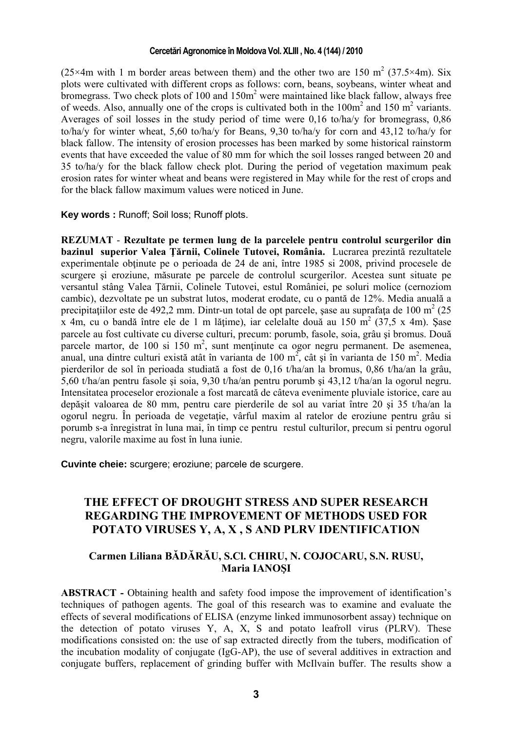#### **Cercetări Agronomice în Moldova Vol. XLIII , No. 4 (144) / 2010**

(25×4m with 1 m border areas between them) and the other two are 150 m<sup>2</sup> (37.5×4m). Six plots were cultivated with different crops as follows: corn, beans, soybeans, winter wheat and bromegrass. Two check plots of 100 and  $150m<sup>2</sup>$  were maintained like black fallow, always free of weeds. Also, annually one of the crops is cultivated both in the  $100m^2$  and  $150 m^2$  variants. Averages of soil losses in the study period of time were 0,16 to/ha/y for bromegrass, 0,86 to/ha/y for winter wheat, 5,60 to/ha/y for Beans, 9,30 to/ha/y for corn and 43,12 to/ha/y for black fallow. The intensity of erosion processes has been marked by some historical rainstorm events that have exceeded the value of 80 mm for which the soil losses ranged between 20 and 35 to/ha/y for the black fallow check plot. During the period of vegetation maximum peak erosion rates for winter wheat and beans were registered in May while for the rest of crops and for the black fallow maximum values were noticed in June.

**Key words :** Runoff; Soil loss; Runoff plots.

**REZUMAT** - **Rezultate pe termen lung de la parcelele pentru controlul scurgerilor din bazinul superior Valea Ţărnii, Colinele Tutovei, România.** Lucrarea prezintă rezultatele experimentale obtinute pe o perioada de 24 de ani, între 1985 si 2008, privind procesele de scurgere şi eroziune, măsurate pe parcele de controlul scurgerilor. Acestea sunt situate pe versantul stâng Valea Ţărnii, Colinele Tutovei, estul României, pe soluri molice (cernoziom cambic), dezvoltate pe un substrat lutos, moderat erodate, cu o pantă de 12%. Media anuală a precipitațiilor este de 492,2 mm. Dintr-un total de opt parcele, șase au suprafața de 100 m<sup>2</sup> (25  $\bar{x}$  4m, cu o bandă între ele de 1 m lățime), iar celelalte două au 150 m<sup>2</sup> (37,5 x 4m). Șase parcele au fost cultivate cu diverse culturi, precum: porumb, fasole, soia, grâu şi bromus. Două parcele martor, de 100 si 150 m<sup>2</sup>, sunt menținute ca ogor negru permanent. De asemenea, anual, una dintre culturi există atât în varianta de 100 m<sup>2</sup>, cât și în varianta de 150 m<sup>2</sup>. Media pierderilor de sol în perioada studiată a fost de 0,16 t/ha/an la bromus, 0,86 t/ha/an la grâu, 5,60 t/ha/an pentru fasole şi soia, 9,30 t/ha/an pentru porumb şi 43,12 t/ha/an la ogorul negru. Intensitatea proceselor erozionale a fost marcată de câteva evenimente pluviale istorice, care au depăşit valoarea de 80 mm, pentru care pierderile de sol au variat între 20 şi 35 t/ha/an la ogorul negru. În perioada de vegetatie, vârful maxim al ratelor de eroziune pentru grâu si porumb s-a înregistrat în luna mai, în timp ce pentru restul culturilor, precum si pentru ogorul negru, valorile maxime au fost în luna iunie.

**Cuvinte cheie:** scurgere; eroziune; parcele de scurgere.

## **THE EFFECT OF DROUGHT STRESS AND SUPER RESEARCH REGARDING THE IMPROVEMENT OF METHODS USED FOR POTATO VIRUSES Y, A, X , S AND PLRV IDENTIFICATION**

## **Carmen Liliana BĂDĂRĂU, S.Cl. CHIRU, N. COJOCARU, S.N. RUSU, Maria IANOŞI**

**ABSTRACT -** Obtaining health and safety food impose the improvement of identification's techniques of pathogen agents. The goal of this research was to examine and evaluate the effects of several modifications of ELISA (enzyme linked immunosorbent assay) technique on the detection of potato viruses Y, A, X, S and potato leafroll virus (PLRV). These modifications consisted on: the use of sap extracted directly from the tubers, modification of the incubation modality of conjugate (IgG-AP), the use of several additives in extraction and conjugate buffers, replacement of grinding buffer with McIlvain buffer. The results show a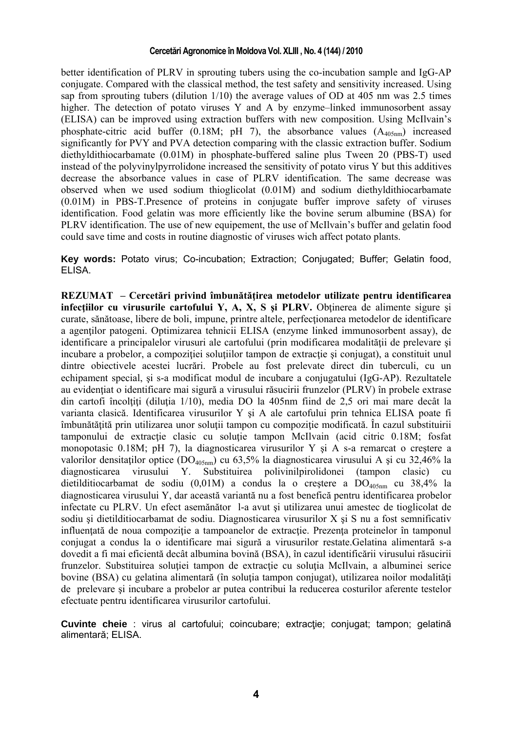#### **Cercetări Agronomice în Moldova Vol. XLIII , No. 4 (144) / 2010**

better identification of PLRV in sprouting tubers using the co-incubation sample and IgG-AP conjugate. Compared with the classical method, the test safety and sensitivity increased. Using sap from sprouting tubers (dilution  $1/10$ ) the average values of OD at 405 nm was 2.5 times higher. The detection of potato viruses Y and A by enzyme–linked immunosorbent assay (ELISA) can be improved using extraction buffers with new composition. Using McIlvain's phosphate-citric acid buffer (0.18M; pH 7), the absorbance values  $(A_{405nm})$  increased significantly for PVY and PVA detection comparing with the classic extraction buffer. Sodium diethyldithiocarbamate (0.01M) in phosphate-buffered saline plus Tween 20 (PBS-T) used instead of the polyvinylpyrrolidone increased the sensitivity of potato virus Y but this additives decrease the absorbance values in case of PLRV identification. The same decrease was observed when we used sodium thioglicolat (0.01M) and sodium diethyldithiocarbamate (0.01M) in PBS-T.Presence of proteins in conjugate buffer improve safety of viruses identification. Food gelatin was more efficiently like the bovine serum albumine (BSA) for PLRV identification. The use of new equipement, the use of McIlvain's buffer and gelatin food could save time and costs in routine diagnostic of viruses wich affect potato plants.

**Key words:** Potato virus; Co-incubation; Extraction; Conjugated; Buffer; Gelatin food, ELISA.

**REZUMAT – Cercetări privind îmbunătăţirea metodelor utilizate pentru identificarea infectiilor cu virusurile cartofului Y, A, X, S si PLRV. Obtinerea de alimente sigure si** curate, sănătoase, libere de boli, impune, printre altele, perfecţionarea metodelor de identificare a agentilor patogeni. Optimizarea tehnicii ELISA (enzyme linked immunosorbent assay), de identificare a principalelor virusuri ale cartofului (prin modificarea modalității de prelevare și incubare a probelor, a compoziției soluțiilor tampon de extracție și conjugat), a constituit unul dintre obiectivele acestei lucrări. Probele au fost prelevate direct din tuberculi, cu un echipament special, şi s-a modificat modul de incubare a conjugatului (IgG-AP). Rezultatele au evidenţiat o identificare mai sigură a virusului răsucirii frunzelor (PLRV) în probele extrase din cartofi încolțiți (diluția 1/10), media DO la 405nm fiind de 2,5 ori mai mare decât la varianta clasică. Identificarea virusurilor Y şi A ale cartofului prin tehnica ELISA poate fi îmbunătăţită prin utilizarea unor soluţii tampon cu compoziţie modificată. În cazul substituirii tamponului de extractie clasic cu soluție tampon McIlvain (acid citric 0.18M; fosfat monopotasic 0.18M; pH 7), la diagnosticarea virusurilor Y si A s-a remarcat o crestere a valorilor densitaților optice (DO<sub>405nm</sub>) cu 63,5% la diagnosticarea virusului A și cu 32,46% la diagnosticarea virusului Y. Substituirea polivinilpirolidonei (tampon clasic) cu diagnosticarea virusului Y. Substituirea polivinilpirolidonei dietilditiocarbamat de sodiu  $(0,01)$  a condus la o creștere a  $DO<sub>405nm</sub>$  cu 38,4% la diagnosticarea virusului Y, dar această variantă nu a fost benefică pentru identificarea probelor infectate cu PLRV. Un efect asemănător l-a avut şi utilizarea unui amestec de tioglicolat de sodiu şi dietilditiocarbamat de sodiu. Diagnosticarea virusurilor X şi S nu a fost semnificativ influentată de noua compozitie a tampoanelor de extractie. Prezenta proteinelor în tamponul conjugat a condus la o identificare mai sigură a virusurilor restate.Gelatina alimentară s-a dovedit a fi mai eficientă decât albumina bovină (BSA), în cazul identificării virusului răsucirii frunzelor. Substituirea soluției tampon de extracție cu soluția McIlvain, a albuminei serice bovine (BSA) cu gelatina alimentară (în solutia tampon conjugat), utilizarea noilor modalități de prelevare şi incubare a probelor ar putea contribui la reducerea costurilor aferente testelor efectuate pentru identificarea virusurilor cartofului.

Cuvinte cheie : virus al cartofului; coincubare; extractie; conjugat; tampon; gelatină alimentară; ELISA.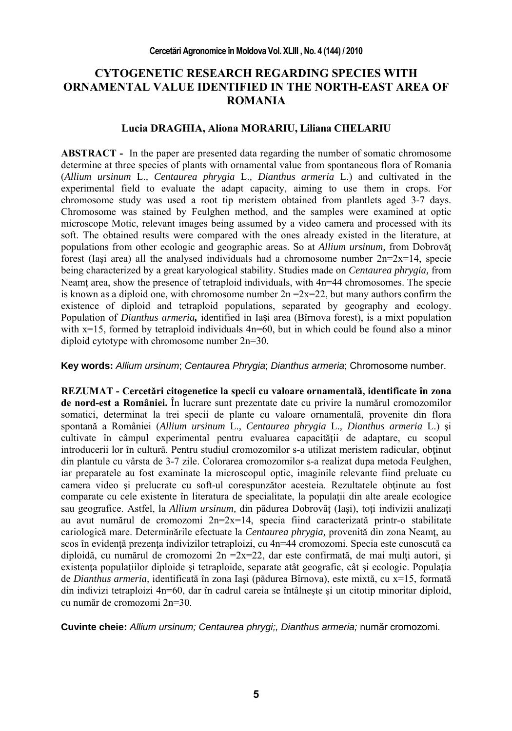## **CYTOGENETIC RESEARCH REGARDING SPECIES WITH ORNAMENTAL VALUE IDENTIFIED IN THE NORTH-EAST AREA OF ROMANIA**

### **Lucia DRAGHIA, Aliona MORARIU, Liliana CHELARIU**

**ABSTRACT -** In the paper are presented data regarding the number of somatic chromosome determine at three species of plants with ornamental value from spontaneous flora of Romania (*Allium ursinum* L.*, Centaurea phrygia* L.*, Dianthus armeria* L.) and cultivated in the experimental field to evaluate the adapt capacity, aiming to use them in crops. For chromosome study was used a root tip meristem obtained from plantlets aged 3-7 days. Chromosome was stained by Feulghen method, and the samples were examined at optic microscope Motic, relevant images being assumed by a video camera and processed with its soft. The obtained results were compared with the ones already existed in the literature, at populations from other ecologic and geographic areas. So at *Allium ursinum,* from Dobrovăţ forest (Iasi area) all the analysed individuals had a chromosome number  $2n=2x=14$ , specie being characterized by a great karyological stability. Studies made on *Centaurea phrygia,* from Neamt area, show the presence of tetraploid individuals, with  $4n=44$  chromosomes. The specie is known as a diploid one, with chromosome number  $2n = 2x=22$ , but many authors confirm the existence of diploid and tetraploid populations, separated by geography and ecology. Population of *Dianthus armeria,* identified in Iași area (Bîrnova forest), is a mixt population with  $x=15$ , formed by tetraploid individuals  $4n=60$ , but in which could be found also a minor diploid cytotype with chromosome number 2n=30.

**Key words:** *Allium ursinum*; *Centaurea Phrygia*; *Dianthus armeria*; Chromosome number.

**REZUMAT - Cercetări citogenetice la specii cu valoare ornamentală, identificate în zona de nord-est a României.** În lucrare sunt prezentate date cu privire la numărul cromozomilor somatici, determinat la trei specii de plante cu valoare ornamentală, provenite din flora spontană a României (*Allium ursinum* L.*, Centaurea phrygia* L.*, Dianthus armeria* L.) şi cultivate în câmpul experimental pentru evaluarea capacității de adaptare, cu scopul introducerii lor în cultură. Pentru studiul cromozomilor s-a utilizat meristem radicular, obţinut din plantule cu vârsta de 3-7 zile. Colorarea cromozomilor s-a realizat dupa metoda Feulghen, iar preparatele au fost examinate la microscopul optic, imaginile relevante fiind preluate cu camera video și prelucrate cu soft-ul corespunzător acesteia. Rezultatele obtinute au fost comparate cu cele existente în literatura de specialitate, la populații din alte areale ecologice sau geografice. Astfel, la *Allium ursinum*, din pădurea Dobrovăt (Iași), toți indivizii analizați au avut numărul de cromozomi  $2n=2x=14$ , specia fiind caracterizată printr-o stabilitate cariologică mare. Determinările efectuate la *Centaurea phrygia*, provenită din zona Neamț, au scos în evidență prezența indivizilor tetraploizi, cu 4n=44 cromozomi. Specia este cunoscută ca diploidă, cu numărul de cromozomi  $2n = 2x=22$ , dar este confirmată, de mai multi autori, și existenta populațiilor diploide și tetraploide, separate atât geografic, cât și ecologic. Populația de *Dianthus armeria,* identificată în zona Iaşi (pădurea Bîrnova), este mixtă, cu x=15, formată din indivizi tetraploizi 4n=60, dar în cadrul careia se întâlneşte şi un citotip minoritar diploid, cu număr de cromozomi 2n=30.

**Cuvinte cheie:** *Allium ursinum; Centaurea phrygi;, Dianthus armeria;* număr cromozomi.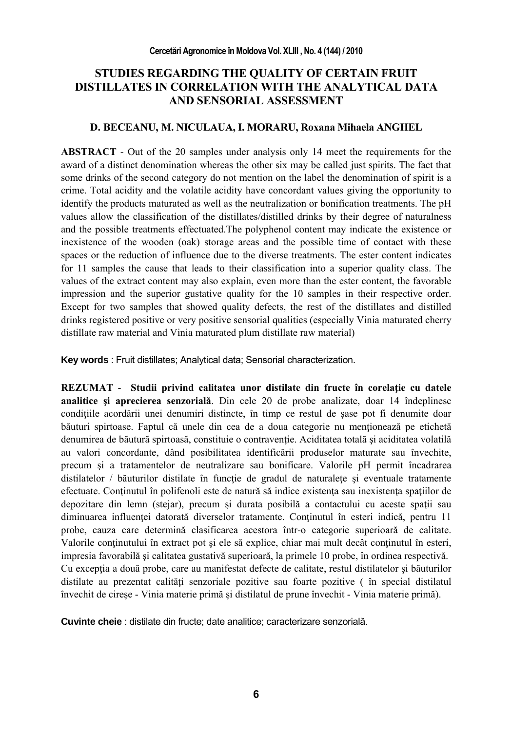# **STUDIES REGARDING THE QUALITY OF CERTAIN FRUIT DISTILLATES IN CORRELATION WITH THE ANALYTICAL DATA AND SENSORIAL ASSESSMENT**

### **D. BECEANU, M. NICULAUA, I. MORARU, Roxana Mihaela ANGHEL**

**ABSTRACT** - Out of the 20 samples under analysis only 14 meet the requirements for the award of a distinct denomination whereas the other six may be called just spirits. The fact that some drinks of the second category do not mention on the label the denomination of spirit is a crime. Total acidity and the volatile acidity have concordant values giving the opportunity to identify the products maturated as well as the neutralization or bonification treatments. The pH values allow the classification of the distillates/distilled drinks by their degree of naturalness and the possible treatments effectuated.The polyphenol content may indicate the existence or inexistence of the wooden (oak) storage areas and the possible time of contact with these spaces or the reduction of influence due to the diverse treatments. The ester content indicates for 11 samples the cause that leads to their classification into a superior quality class. The values of the extract content may also explain, even more than the ester content, the favorable impression and the superior gustative quality for the 10 samples in their respective order. Except for two samples that showed quality defects, the rest of the distillates and distilled drinks registered positive or very positive sensorial qualities (especially Vinia maturated cherry distillate raw material and Vinia maturated plum distillate raw material)

**Key words** : Fruit distillates; Analytical data; Sensorial characterization.

**REZUMAT** - **Studii privind calitatea unor distilate din fructe în corelaţie cu datele analitice şi aprecierea senzorială**. Din cele 20 de probe analizate, doar 14 îndeplinesc conditiile acordării unei denumiri distincte, în timp ce restul de sase pot fi denumite doar băuturi spirtoase. Faptul că unele din cea de a doua categorie nu mentionează pe etichetă denumirea de băutură spirtoasă, constituie o contravenție. Aciditatea totală și aciditatea volatilă au valori concordante, dând posibilitatea identificării produselor maturate sau învechite, precum şi a tratamentelor de neutralizare sau bonificare. Valorile pH permit încadrarea distilatelor / băuturilor distilate în functie de gradul de naturalete și eventuale tratamente efectuate. Conţinutul în polifenoli este de natură să indice existenţa sau inexistenţa spaţiilor de depozitare din lemn (stejar), precum şi durata posibilă a contactului cu aceste spaţii sau diminuarea influenței datorată diverselor tratamente. Conținutul în esteri indică, pentru 11 probe, cauza care determină clasificarea acestora într-o categorie superioară de calitate. Valorile conţinutului în extract pot şi ele să explice, chiar mai mult decât conţinutul în esteri, impresia favorabilă şi calitatea gustativă superioară, la primele 10 probe, în ordinea respectivă. Cu excepţia a două probe, care au manifestat defecte de calitate, restul distilatelor şi băuturilor distilate au prezentat calităţi senzoriale pozitive sau foarte pozitive ( în special distilatul învechit de cireşe - Vinia materie primă şi distilatul de prune învechit - Vinia materie primă).

**Cuvinte cheie** : distilate din fructe; date analitice; caracterizare senzorială.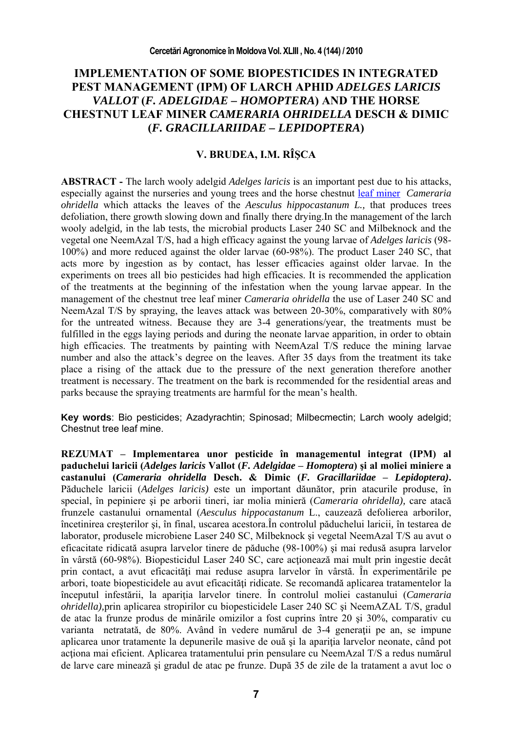## **IMPLEMENTATION OF SOME BIOPESTICIDES IN INTEGRATED PEST MANAGEMENT (IPM) OF LARCH APHID** *ADELGES LARICIS VALLOT* **(***F. ADELGIDAE – HOMOPTERA***) AND THE HORSE CHESTNUT LEAF MINER** *CAMERARIA OHRIDELLA* **DESCH & DIMIC (***F. GRACILLARIIDAE – LEPIDOPTERA***)**

## **V. BRUDEA, I.M. RÎŞCA**

**ABSTRACT -** The larch wooly adelgid *Adelges laricis* is an important pest due to his attacks, especially against the nurseries and young trees and the horse chestnut leaf miner *Cameraria ohridella* which attacks the leaves of the *Aesculus hippocastanum L.,* that produces trees defoliation, there growth slowing down and finally there drying.In the management of the larch wooly adelgid*,* in the lab tests, the microbial products Laser 240 SC and Milbeknock and the vegetal one NeemAzal T/S, had a high efficacy against the young larvae of *Adelges laricis* (98- 100%) and more reduced against the older larvae (60-98%). The product Laser 240 SC, that acts more by ingestion as by contact, has lesser efficacies against older larvae. In the experiments on trees all bio pesticides had high efficacies. It is recommended the application of the treatments at the beginning of the infestation when the young larvae appear. In the management of the chestnut tree leaf miner *Cameraria ohridella* the use of Laser 240 SC and NeemAzal T/S by spraying, the leaves attack was between 20-30%, comparatively with 80% for the untreated witness. Because they are 3-4 generations/year, the treatments must be fulfilled in the eggs laying periods and during the neonate larvae apparition, in order to obtain high efficacies. The treatments by painting with NeemAzal T/S reduce the mining larvae number and also the attack's degree on the leaves. After 35 days from the treatment its take place a rising of the attack due to the pressure of the next generation therefore another treatment is necessary. The treatment on the bark is recommended for the residential areas and parks because the spraying treatments are harmful for the mean's health.

**Key words**: Bio pesticides; Azadyrachtin; Spinosad; Milbecmectin; Larch wooly adelgid; Chestnut tree leaf mine.

**REZUMAT – Implementarea unor pesticide în managementul integrat (IPM) al paduchelui laricii (***Adelges laricis* **Vallot (***F. Adelgidae* **–** *Homoptera***) şi al moliei miniere a castanului (***Cameraria ohridella* **Desch. & Dimic (***F. Gracillariidae* **–** *Lepidoptera)***.**  Păduchele laricii (*Adelges laricis)* este un important dăunător, prin atacurile produse, în special, în pepiniere şi pe arborii tineri, iar molia minieră (*Cameraria ohridella),* care atacă frunzele castanului ornamental (*Aesculus hippocastanum* L., cauzează defolierea arborilor, încetinirea creşterilor şi, în final, uscarea acestora.În controlul păduchelui laricii*,* în testarea de laborator, produsele microbiene Laser 240 SC, Milbeknock şi vegetal NeemAzal T/S au avut o eficacitate ridicată asupra larvelor tinere de păduche (98-100%) şi mai redusă asupra larvelor în vârstă (60-98%). Biopesticidul Laser 240 SC, care acţionează mai mult prin ingestie decât prin contact, a avut eficacități mai reduse asupra larvelor în vârstă. În experimentările pe arbori, toate biopesticidele au avut eficacităţi ridicate. Se recomandă aplicarea tratamentelor la începutul infestării, la apariţia larvelor tinere. În controlul moliei castanului (*Cameraria ohridella),*prin aplicarea stropirilor cu biopesticidele Laser 240 SC şi NeemAZAL T/S, gradul de atac la frunze produs de minările omizilor a fost cuprins între 20 si 30%, comparativ cu varianta netratată, de 80%. Având în vedere numărul de 3-4 generații pe an, se impune aplicarea unor tratamente la depunerile masive de ouă și la apariția larvelor neonate, când pot acţiona mai eficient. Aplicarea tratamentului prin pensulare cu NeemAzal T/S a redus numărul de larve care minează şi gradul de atac pe frunze. După 35 de zile de la tratament a avut loc o